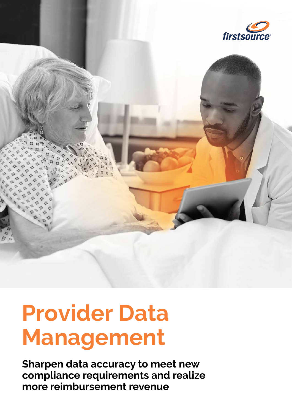

# **Provider Data Management**

**Sharpen data accuracy to meet new compliance requirements and realize more reimbursement revenue**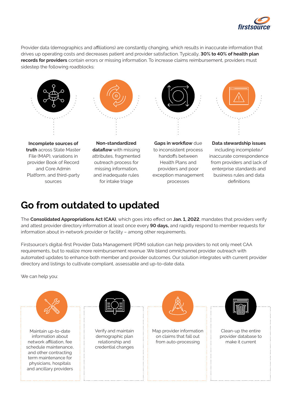

Provider data (demographics and affiliations) are constantly changing, which results in inaccurate information that drives up operating costs and decreases patient and provider satisfaction. Typically, **30% to 40% of health plan records for providers** contain errors or missing information. To increase claims reimbursement, providers must sidestep the following roadblocks:



**Incomplete sources of truth** across State Master File (MAP), variations in provider Book of Record and Core Admin Platform, and third-party sources



**Non-standardized dataflow** with missing attributes, fragmented outreach process for missing information, and inadequate rules for intake triage



**Gaps in workflow** due to inconsistent process handoffs between Health Plans and providers and poor exception management processes



**Data stewardship issues**  including incomplete/ inaccurate correspondence from providers and lack of enterprise standards and business rules and data definitions

### **Go from outdated to updated**

The **Consolidated Appropriations Act (CAA)**, which goes into effect on **Jan. 1, 2022**, mandates that providers verify and attest provider directory information at least once every **90 days,** and rapidly respond to member requests for information about in-network provider or facility – among other requirements.

Firstsource's digital-first Provider Data Management (PDM) solution can help providers to not only meet CAA requirements, but to realize more reimbursement revenue .We blend omnichannel provider outreach with automated updates to enhance both member and provider outcomes. Our solution integrates with current provider directory and listings to cultivate compliant, assessable and up-to-date data.

We can help you:

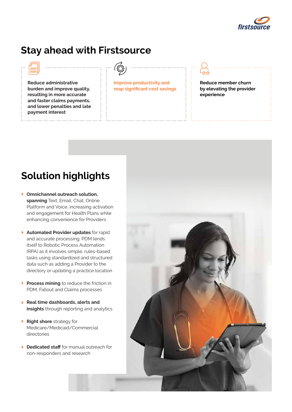

#### **Stay ahead with Firstsource**



**Reduce administrative burden and improve quality, resulting in more accurate and faster claims payments, and lower penalties and late payment interest** 



**Improve productivity and reap significant cost savings** 



**Reduce member churn by elevating the provider experience** 

## **Solution highlights**

- **Omnichannel outreach solution, spanning** Text, Email, Chat, Online Platform and Voice, increasing activation and engagement for Health Plans while enhancing convenience for Providers
- **Automated Provider updates** for rapid and accurate processing. PDM lends itself to Robotic Process Automation (RPA) as it involves simple, rules-based tasks using standardized and structured data such as adding a Provider to the directory or updating a practice location
- **Process mining** to reduce the friction in PDM, Fallout and Claims processes
- **Real time dashboards, alerts and insights** through reporting and analytics
- **Right shore** strategy for Medicare/Medicaid/Commercial directories
- **Dedicated staff** for manual outreach for non-responders and research